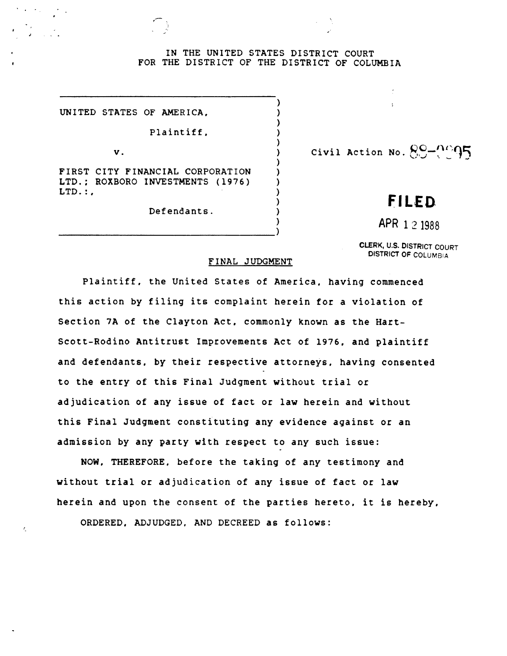## IN THE UNITED STATES DISTRICT COURT FOR THE DISTRICT OF THE DISTRICT OF COLUMBIA

) ) ) ) ) ) ) ) ) ) ) ) )

UNITED STATES OF AMERICA.

Plaintiff.

v.

ż,

FIRST CITY FINANCIAL CORPORATION LTD.: ROXBORO INVESTMENTS (1976)  $LTD.:$ 

Defendants.

---------------------------------)

Civil Action No.  $89 - 95$ 

## **FILED**

APR 1 2 1988

CLERK, U.S. DISTRICT COURT DISTRICT OF COLUMBIA

## FINAL JUDGMENT

Plaintiff. the United States of America. having commenced this action by filing its complaint herein for a violation of Section 7A of the Clayton Act. commonly known as the Hart-Scott-Rodino Antitrust Improvements Act of 1976. and plaintiff and defendants. by their respective attorneys. having consented to the entry of this Final Judgment without trial or adjudication of any issue of fact or law herein and without this Final Judgment constituting any evidence against or an admission by any party with respect to any such issue:

NOW. THEREFORE. before the taking of any testimony and without trial or adjudication of any issue of fact or law herein and upon the consent of the parties hereto, it is hereby,

ORDERED. ADJUDGED, AND DECREED as follows: